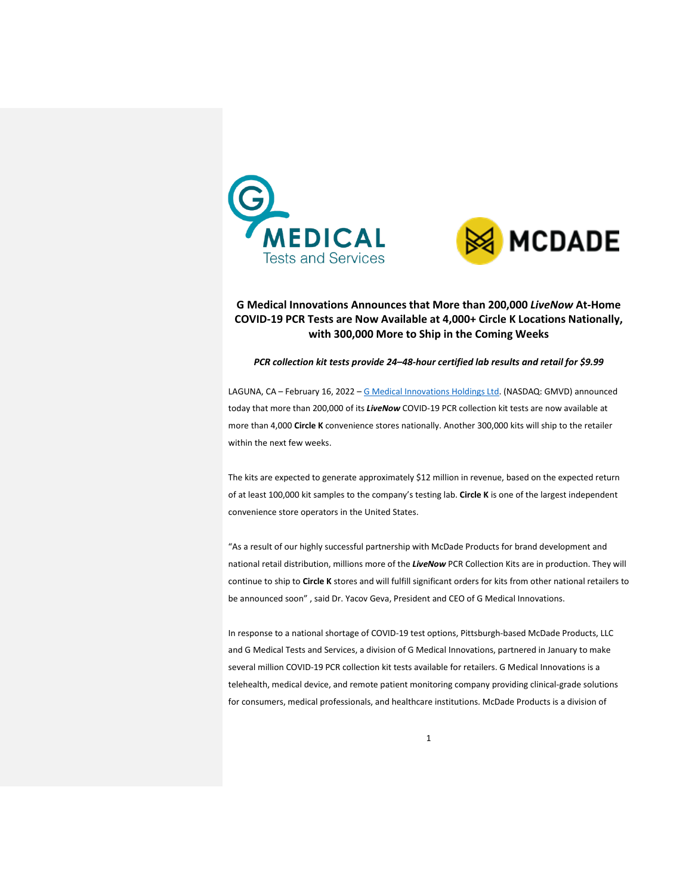



# **G Medical Innovations Announces that More than 200,000** *LiveNow* **At-Home COVID-19 PCR Tests are Now Available at 4,000+ Circle K Locations Nationally, with 300,000 More to Ship in the Coming Weeks**

*PCR collection kit tests provide 24–48-hour certified lab results and retail for \$9.99*

LAGUNA, CA – February 16, 2022 – [G Medical Innovations Holdings Ltd.](https://gmedinnovations.com/) (NASDAQ: GMVD) announced today that more than 200,000 of its *LiveNow* COVID-19 PCR collection kit tests are now available at more than 4,000 **Circle K** convenience stores nationally. Another 300,000 kits will ship to the retailer within the next few weeks.

The kits are expected to generate approximately \$12 million in revenue, based on the expected return of at least 100,000 kit samples to the company's testing lab. **Circle K** is one of the largest independent convenience store operators in the United States.

"As a result of our highly successful partnership with McDade Products for brand development and national retail distribution, millions more of the *LiveNow* PCR Collection Kits are in production. They will continue to ship to **Circle K** stores and will fulfill significant orders for kits from other national retailers to be announced soon" , said Dr. Yacov Geva, President and CEO of G Medical Innovations.

In response to a national shortage of COVID-19 test options, Pittsburgh-based McDade Products, LLC and G Medical Tests and Services, a division of G Medical Innovations, partnered in January to make several million COVID-19 PCR collection kit tests available for retailers. G Medical Innovations is a telehealth, medical device, and remote patient monitoring company providing clinical-grade solutions for consumers, medical professionals, and healthcare institutions. McDade Products is a division of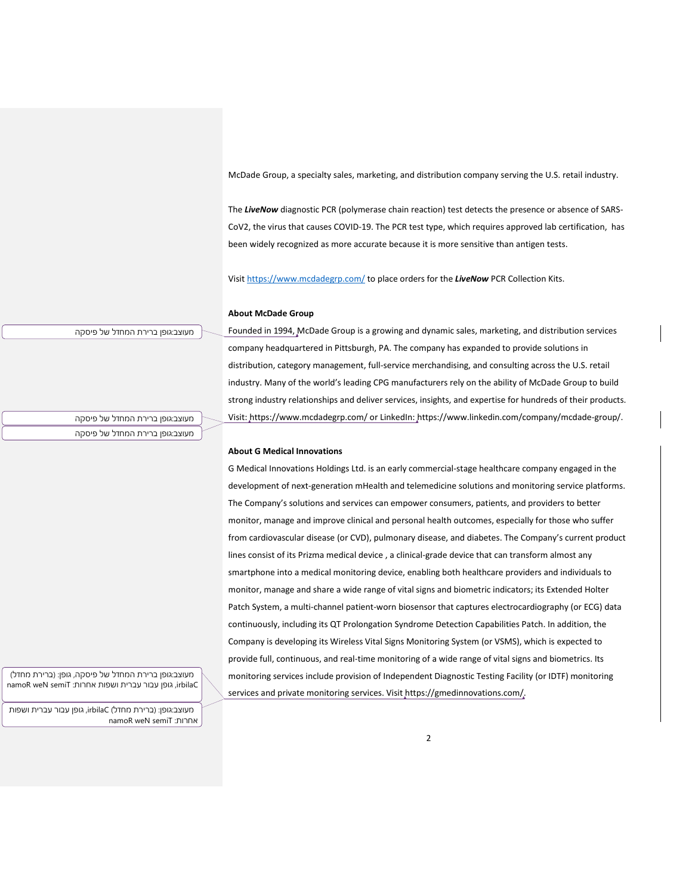McDade Group, a specialty sales, marketing, and distribution company serving the U.S. retail industry.

The *LiveNow* diagnostic PCR (polymerase chain reaction) test detects the presence or absence of SARS-CoV2, the virus that causes COVID-19. The PCR test type, which requires approved lab certification, has been widely recognized as more accurate because it is more sensitive than antigen tests.

Visit<https://www.mcdadegrp.com/> to place orders for the *LiveNow* PCR Collection Kits.

# **About McDade Group**

#### מעוצב:גופן ברירת המחדל של פיסקה

Founded in 1994[, McDade Group](https://www.mcdadeassociates.com/) is a growing and dynamic sales, marketing, and distribution services company headquartered in Pittsburgh, PA. The company has expanded to provide solutions in distribution, category management, full-service merchandising, and consulting across the U.S. retail industry. Many of the world's leading CPG manufacturers rely on the ability of McDade Group to build strong industry relationships and deliver services, insights, and expertise for hundreds of their products. Visit:<https://www.mcdadegrp.com/> or LinkedIn: [https://www.linkedin.com/company/mcdade-group/.](https://www.linkedin.com/company/mcdade-group/)

מעוצב:גופן ברירת המחדל של פיסקה מעוצב:גופן ברירת המחדל של פיסקה

## **About G Medical Innovations**

G Medical Innovations Holdings Ltd. is an early commercial-stage healthcare company engaged in the development of next-generation mHealth and telemedicine solutions and monitoring service platforms. The Company's solutions and services can empower consumers, patients, and providers to better monitor, manage and improve clinical and personal health outcomes, especially for those who suffer from cardiovascular disease (or CVD), pulmonary disease, and diabetes. The Company's current product lines consist of its Prizma medical device , a clinical-grade device that can transform almost any smartphone into a medical monitoring device, enabling both healthcare providers and individuals to monitor, manage and share a wide range of vital signs and biometric indicators; its Extended Holter Patch System, a multi-channel patient-worn biosensor that captures electrocardiography (or ECG) data continuously, including its QT Prolongation Syndrome Detection Capabilities Patch. In addition, the Company is developing its Wireless Vital Signs Monitoring System (or VSMS), which is expected to provide full, continuous, and real-time monitoring of a wide range of vital signs and biometrics. Its monitoring services include provision of Independent Diagnostic Testing Facility (or IDTF) monitoring services and private monitoring services. Visit [https://gmedinnovations.com/.](https://gmedinnovations.com/)

מעוצב:גופן ברירת המחדל של פיסקה, גופן: )ברירת מחדל( namoR weN semiT :גופן עבור עברית ושפות אחרות: namoR weN semiT

מעוצב:גופן: )ברירת מחדל( irbilaC, גופן עבור עברית ושפות namoR weN semiT :אחרות